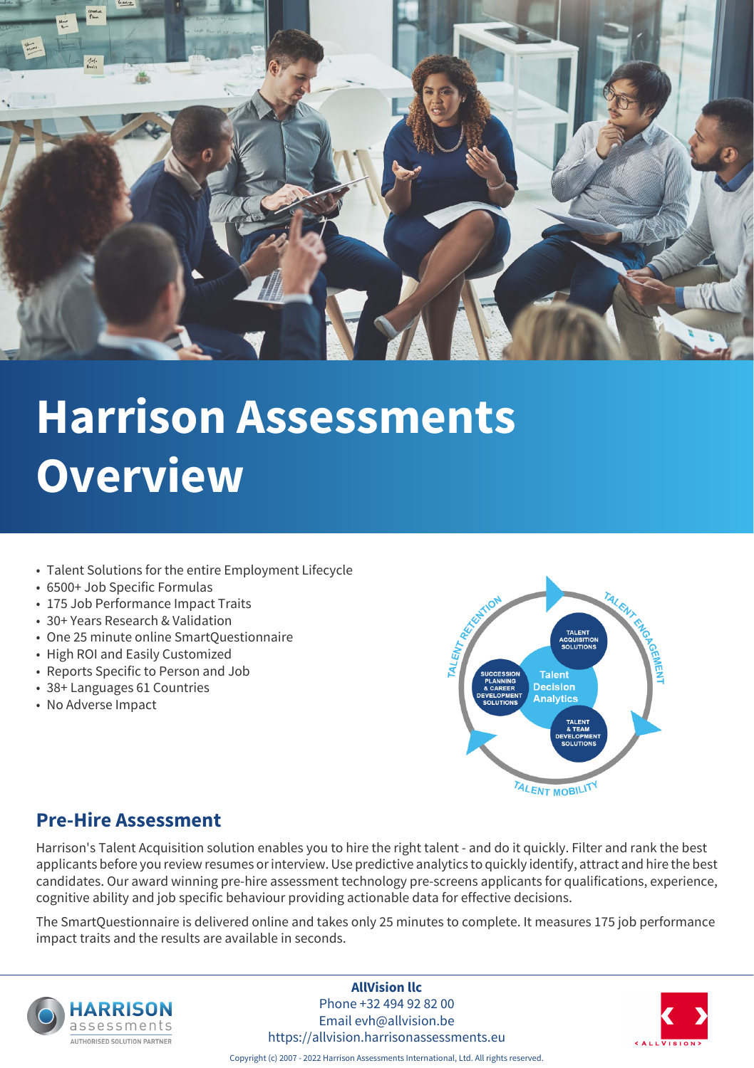

- Talent Solutions for the entire Employment Lifecycle
- 6500+ Job Specific Formulas
- 175 Job Performance Impact Traits
- 30+ Years Research & Validation
- One 25 minute online SmartQuestionnaire
- High ROI and Easily Customized
- Reports Specific to Person and Job
- 38+ Languages 61 Countries
- No Adverse Impact



### **Pre-Hire Assessment**

Harrison's Talent Acquisition solution enables you to hire the right talent - and do it quickly. Filter and rank the best applicants before you review resumes or interview. Use predictive analytics to quickly identify, attract and hire the best candidates. Our award winning pre-hire assessment technology pre-screens applicants for qualifications, experience, cognitive ability and job specific behaviour providing actionable data for effective decisions.

The SmartQuestionnaire is delivered online and takes only 25 minutes to complete. It measures 175 job performance impact traits and the results are available in seconds.



**AllVision llc** Phone +32 494 92 82 00 Email evh@allvision.be

https://allvision.harrisonassessments.eu

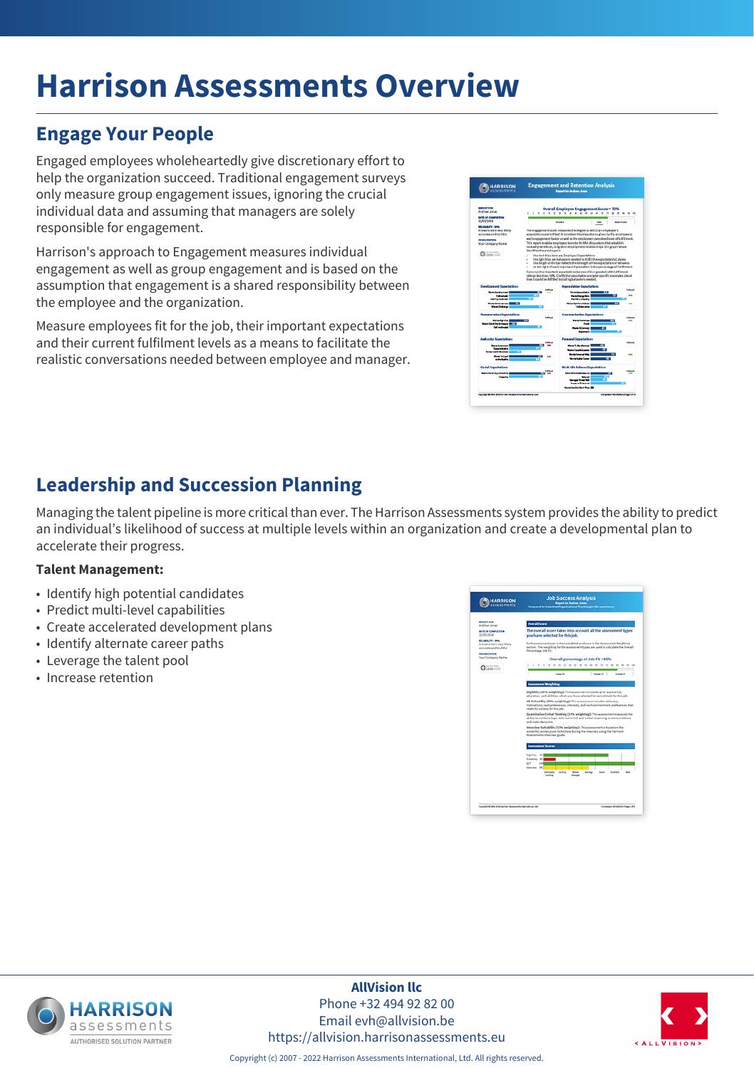## **Engage Your People**

Engaged employees wholeheartedly give discretionary effort to help the organization succeed. Traditional engagement surveys only measure group engagement issues, ignoring the crucial individual data and assuming that managers are solely responsible for engagement.

Harrison's approach to Engagement measures individual engagement as well as group engagement and is based on the assumption that engagement is a shared responsibility between the employee and the organization.

Measure employees fit for the job, their important expectations and their current fulfilment levels as a means to facilitate the realistic conversations needed between employee and manager.



## **Leadership and Succession Planning**

Managing the talent pipeline is more critical than ever. The Harrison Assessments system provides the ability to predict an individual's likelihood of success at multiple levels within an organization and create a developmental plan to accelerate their progress.

#### **Talent Management:**

- Identify high potential candidates
- Predict multi-level capabilities
- Create accelerated development plans
- Identify alternate career paths
- Leverage the talent pool
- Increase retention





**AllVision llc** Phone +32 494 92 82 00 Email evh@allvision.be https://allvision.harrisonassessments.eu

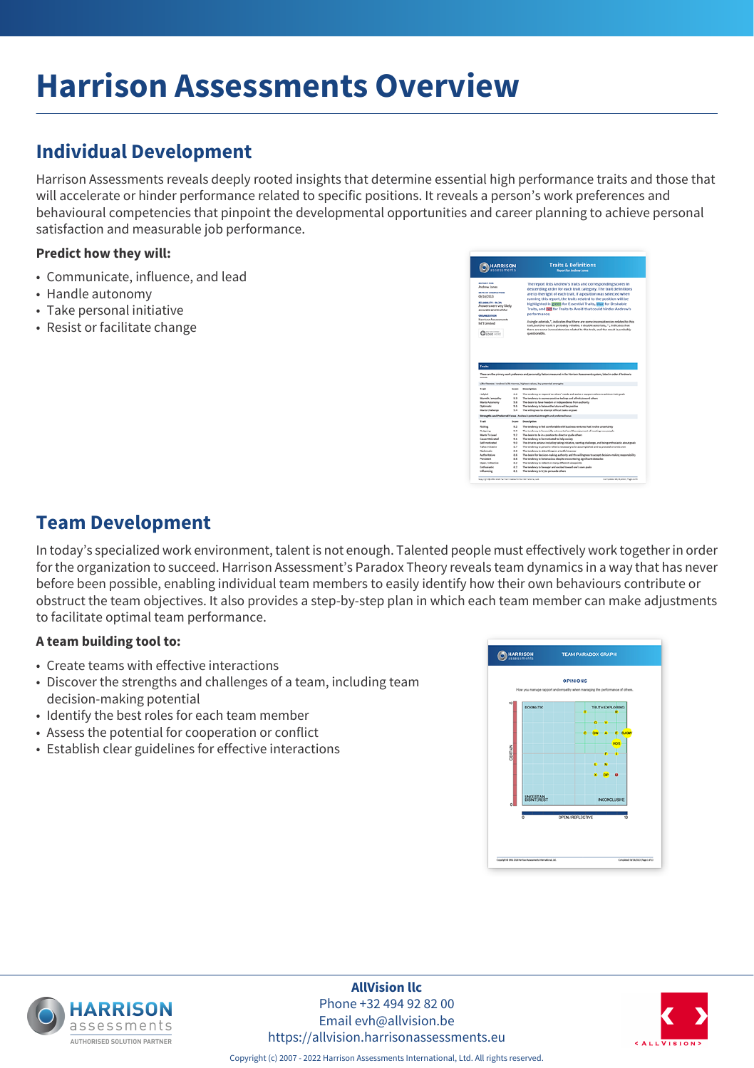## **Individual Development**

Harrison Assessments reveals deeply rooted insights that determine essential high performance traits and those that will accelerate or hinder performance related to specific positions. It reveals a person's work preferences and behavioural competencies that pinpoint the developmental opportunities and career planning to achieve personal satisfaction and measurable job performance.

### **Predict how they will:**

- Communicate, influence, and lead
- Handle autonomy
- Take personal initiative
- Resist or facilitate change

|                                                                                                                                                                                                                                                  | <b>HARRISON</b>          | <b>Traits &amp; Definitions</b><br><b>Benefit for Andrew Jones</b>                                                                                                                                                                                                                                                                                                                                                                                                                                                                                                                                                                                                                                         |
|--------------------------------------------------------------------------------------------------------------------------------------------------------------------------------------------------------------------------------------------------|--------------------------|------------------------------------------------------------------------------------------------------------------------------------------------------------------------------------------------------------------------------------------------------------------------------------------------------------------------------------------------------------------------------------------------------------------------------------------------------------------------------------------------------------------------------------------------------------------------------------------------------------------------------------------------------------------------------------------------------------|
| <b>REPORT FOR</b><br>Andrew Jones<br><b>BATE OF COMPLETION</b><br>09/16/2013<br>RELIABILITY - 99,3%<br>Answers were very likely.<br>accurate and truthful.<br><b>COMMERCIAL</b><br><b>Harrison Assessments</b><br>Int'l Limited<br>$Q$ into with |                          | The report lists Andrew's traits and corresponding scores in<br>descending order for each trait category. The trait definitions<br>are to the right of each trait. If a position was selected when<br>running this report, the traits related to the position will be<br>highlighted in green for Essential Traits, blue for Desirable<br>Traits, and red for Traits to Avoid that could hinder Andrew's<br>performance.<br>A single asterisk, ", indicates that there are some inconsistencies related to this<br>trait, but the result is probably reliable. A double asterisks, "", indicates that<br>there are some inconsistencies related to this trait, and the result is probably<br>questionable. |
| <b>Traits</b>                                                                                                                                                                                                                                    |                          |                                                                                                                                                                                                                                                                                                                                                                                                                                                                                                                                                                                                                                                                                                            |
| scores.<br>Trait<br>tadotal<br>Marrett Jamesethe<br><b>Marits Autonomy</b>                                                                                                                                                                       | Source<br>11<br>53<br>98 | These are the primary early preference and personality factors measured in the Harrison Assessments system. Seted in order of Andrew's<br>Life Themes - Andrew's life themes, highest values, key potential strengths<br>Description<br>The tendency to respond to others' needs and assist or support others to achieve their goals<br>The tendency to assess positive befores and affinity toward others.<br>The desire to have freedom or independence from authority                                                                                                                                                                                                                                   |
| Outlimistic                                                                                                                                                                                                                                      | 9.5<br>9.6               | The tendency to believe the future will be positive                                                                                                                                                                                                                                                                                                                                                                                                                                                                                                                                                                                                                                                        |
| <b>Wants Challenge</b>                                                                                                                                                                                                                           |                          | The willingness to attempt difficult tasks or goals                                                                                                                                                                                                                                                                                                                                                                                                                                                                                                                                                                                                                                                        |
|                                                                                                                                                                                                                                                  |                          | Strengths and Preferred Focus - Andrew's potential strength and preferred boxes                                                                                                                                                                                                                                                                                                                                                                                                                                                                                                                                                                                                                            |
| Trait                                                                                                                                                                                                                                            | Source                   | Description                                                                                                                                                                                                                                                                                                                                                                                                                                                                                                                                                                                                                                                                                                |
| <b>Naking</b>                                                                                                                                                                                                                                    | 6.2                      | The tendency to had comfortable with business ventures that involve uncertainty                                                                                                                                                                                                                                                                                                                                                                                                                                                                                                                                                                                                                            |
| Outguing                                                                                                                                                                                                                                         | 5.2                      | The tendency to be socially extraouted and the enjoyment of meeting new people                                                                                                                                                                                                                                                                                                                                                                                                                                                                                                                                                                                                                             |
| <b>Wants To Lead</b>                                                                                                                                                                                                                             | 9.2                      | The desire to be in a position to direct or guide others                                                                                                                                                                                                                                                                                                                                                                                                                                                                                                                                                                                                                                                   |
| Cause McKyahad                                                                                                                                                                                                                                   | 9.5                      | The tendency to be motivated to help assisty                                                                                                                                                                                                                                                                                                                                                                                                                                                                                                                                                                                                                                                               |
| <b>Sail motivated</b>                                                                                                                                                                                                                            | 6.5                      | The drive to achieve including taking initiative, wanting challenge, and being enthusiastic about goals                                                                                                                                                                                                                                                                                                                                                                                                                                                                                                                                                                                                    |
| Takes trucketing                                                                                                                                                                                                                                 | 4.7                      | The tendency to perceive what is necessary to be accomplished and to proceed on one's own                                                                                                                                                                                                                                                                                                                                                                                                                                                                                                                                                                                                                  |
| Diplomatic                                                                                                                                                                                                                                       | 8.8                      | The tendency to state things in a terthal manner.                                                                                                                                                                                                                                                                                                                                                                                                                                                                                                                                                                                                                                                          |
| Authentisative                                                                                                                                                                                                                                   | 88                       | The desire for decision making authority and the willingness to accept decision making responsibility                                                                                                                                                                                                                                                                                                                                                                                                                                                                                                                                                                                                      |
| Persistant                                                                                                                                                                                                                                       | $\sim$                   | The tendency to be tenacious despite encountering algorithmet stutacles                                                                                                                                                                                                                                                                                                                                                                                                                                                                                                                                                                                                                                    |
| Open / reflective<br>Enthusiastic                                                                                                                                                                                                                | 6.2<br>4.2               | The tendency to reflect on many different viewpoints<br>The tendency to be eager and excited toward one's own goals                                                                                                                                                                                                                                                                                                                                                                                                                                                                                                                                                                                        |

### **Team Development**

In today's specialized work environment, talent is not enough. Talented people must effectively work together in order for the organization to succeed. Harrison Assessment's Paradox Theory reveals team dynamics in a way that has never before been possible, enabling individual team members to easily identify how their own behaviours contribute or obstruct the team objectives. It also provides a step-by-step plan in which each team member can make adjustments to facilitate optimal team performance.

#### **A team building tool to:**

- Create teams with effective interactions
- Discover the strengths and challenges of a team, including team decision-making potential
- Identify the best roles for each team member
- Assess the potential for cooperation or conflict
- Establish clear guidelines for effective interactions





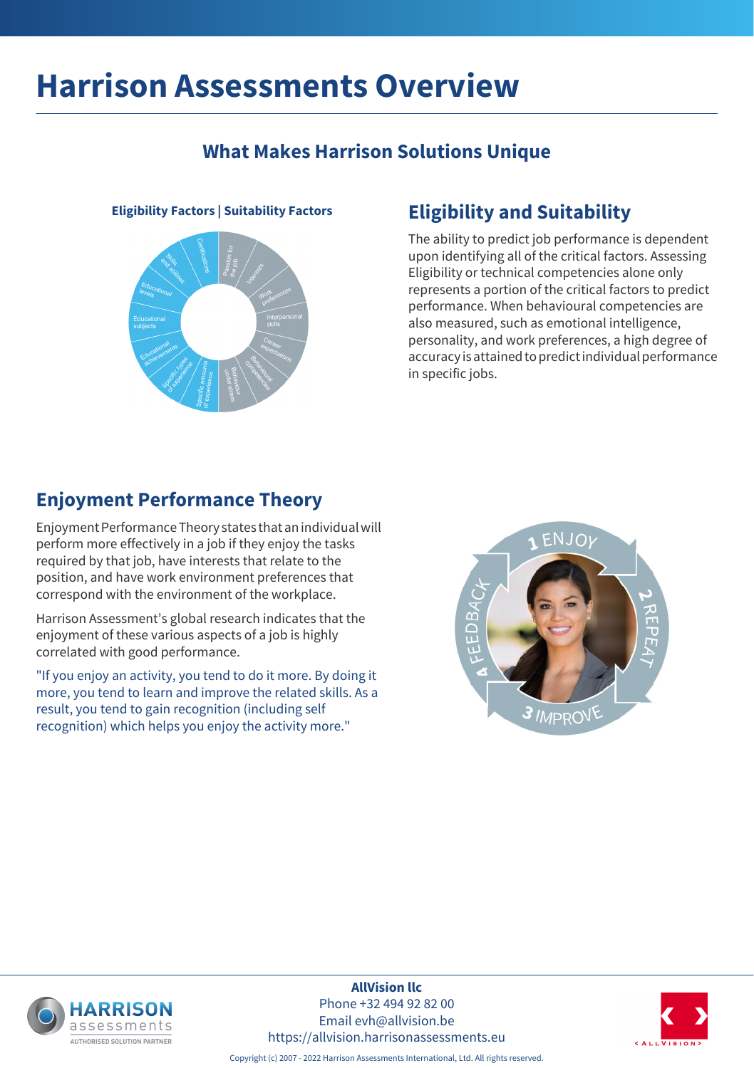## **What Makes Harrison Solutions Unique**



## **Eligibility Factors | Suitability Factors Eligibility and Suitability**

The ability to predict job performance is dependent upon identifying all of the critical factors. Assessing Eligibility or technical competencies alone only represents a portion of the critical factors to predict performance. When behavioural competencies are also measured, such as emotional intelligence, personality, and work preferences, a high degree of accuracy is attained to predict individual performance in specific jobs.

### **Enjoyment Performance Theory**

Enjoyment Performance Theory states that an individual will perform more effectively in a job if they enjoy the tasks required by that job, have interests that relate to the position, and have work environment preferences that correspond with the environment of the workplace.

Harrison Assessment's global research indicates that the enjoyment of these various aspects of a job is highly correlated with good performance.

"If you enjoy an activity, you tend to do it more. By doing it more, you tend to learn and improve the related skills. As a result, you tend to gain recognition (including self recognition) which helps you enjoy the activity more."





**AllVision llc** Phone +32 494 92 82 00 Email evh@allvision.be https://allvision.harrisonassessments.eu



Copyright (c) 2007 - 2022 Harrison Assessments International, Ltd. All rights reserved.